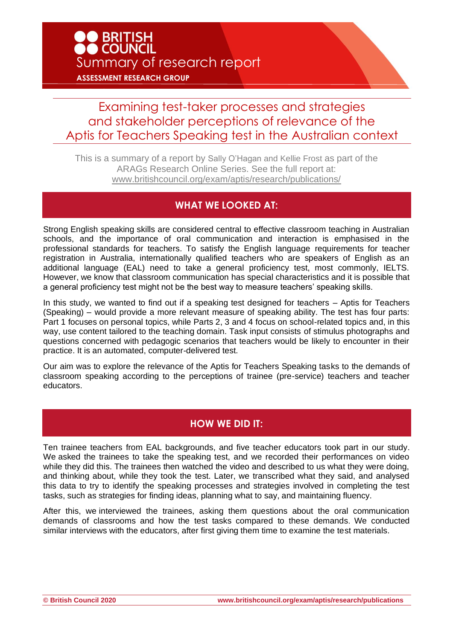## Examining test-taker processes and strategies and stakeholder perceptions of relevance of the Aptis for Teachers Speaking test in the Australian context

This is a summary of a report by Sally O'Hagan and Kellie Frost as part of the ARAGs Research Online Series. See the full report at: [www.britishcouncil.org/exam/aptis/research/publications/](http://www.britishcouncil.org/exam/aptis/research/publications/)

## **WHAT WE LOOKED AT:**

Strong English speaking skills are considered central to effective classroom teaching in Australian schools, and the importance of oral communication and interaction is emphasised in the professional standards for teachers. To satisfy the English language requirements for teacher registration in Australia, internationally qualified teachers who are speakers of English as an additional language (EAL) need to take a general proficiency test, most commonly, IELTS. However, we know that classroom communication has special characteristics and it is possible that a general proficiency test might not be the best way to measure teachers' speaking skills.

In this study, we wanted to find out if a speaking test designed for teachers – Aptis for Teachers (Speaking) – would provide a more relevant measure of speaking ability. The test has four parts: Part 1 focuses on personal topics, while Parts 2, 3 and 4 focus on school-related topics and, in this way, use content tailored to the teaching domain. Task input consists of stimulus photographs and questions concerned with pedagogic scenarios that teachers would be likely to encounter in their practice. It is an automated, computer-delivered test.

Our aim was to explore the relevance of the Aptis for Teachers Speaking tasks to the demands of classroom speaking according to the perceptions of trainee (pre-service) teachers and teacher educators.

## **HOW WE DID IT:**

Ten trainee teachers from EAL backgrounds, and five teacher educators took part in our study. We asked the trainees to take the speaking test, and we recorded their performances on video while they did this. The trainees then watched the video and described to us what they were doing, and thinking about, while they took the test. Later, we transcribed what they said, and analysed this data to try to identify the speaking processes and strategies involved in completing the test tasks, such as strategies for finding ideas, planning what to say, and maintaining fluency.

After this, we interviewed the trainees, asking them questions about the oral communication demands of classrooms and how the test tasks compared to these demands. We conducted similar interviews with the educators, after first giving them time to examine the test materials.